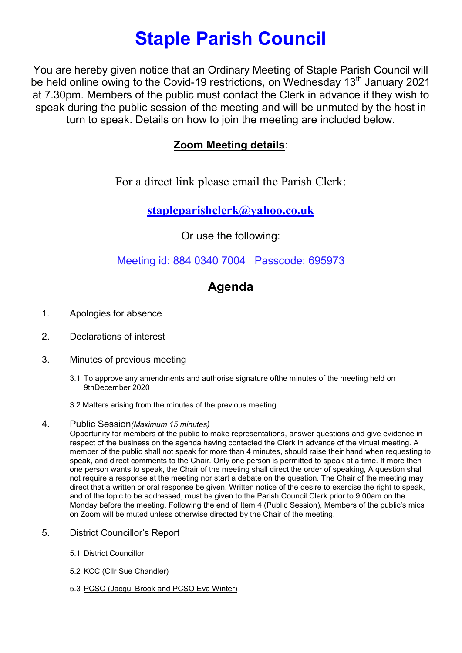# Staple Parish Council

You are hereby given notice that an Ordinary Meeting of Staple Parish Council will be held online owing to the Covid-19 restrictions, on Wednesday 13<sup>th</sup> January 2021 at 7.30pm. Members of the public must contact the Clerk in advance if they wish to speak during the public session of the meeting and will be unmuted by the host in turn to speak. Details on how to join the meeting are included below.

### Zoom Meeting details:

For a direct link please email the Parish Clerk:

stapleparishclerk@yahoo.co.uk

Or use the following:

Meeting id: 884 0340 7004 Passcode: 695973

## Agenda

- 1. Apologies for absence
- 2. Declarations of interest
- 3. Minutes of previous meeting
	- 3.1 To approve any amendments and authorise signature ofthe minutes of the meeting held on 9thDecember 2020
	- 3.2 Matters arising from the minutes of the previous meeting.
- 4. Public Session(Maximum 15 minutes)

Opportunity for members of the public to make representations, answer questions and give evidence in respect of the business on the agenda having contacted the Clerk in advance of the virtual meeting. A member of the public shall not speak for more than 4 minutes, should raise their hand when requesting to speak, and direct comments to the Chair. Only one person is permitted to speak at a time. If more then one person wants to speak, the Chair of the meeting shall direct the order of speaking, A question shall not require a response at the meeting nor start a debate on the question. The Chair of the meeting may direct that a written or oral response be given. Written notice of the desire to exercise the right to speak, and of the topic to be addressed, must be given to the Parish Council Clerk prior to 9.00am on the Monday before the meeting. Following the end of Item 4 (Public Session), Members of the public's mics on Zoom will be muted unless otherwise directed by the Chair of the meeting.

- 5. District Councillor's Report
	- 5.1 District Councillor
	- 5.2 KCC (Cllr Sue Chandler)
	- 5.3 PCSO (Jacqui Brook and PCSO Eva Winter)